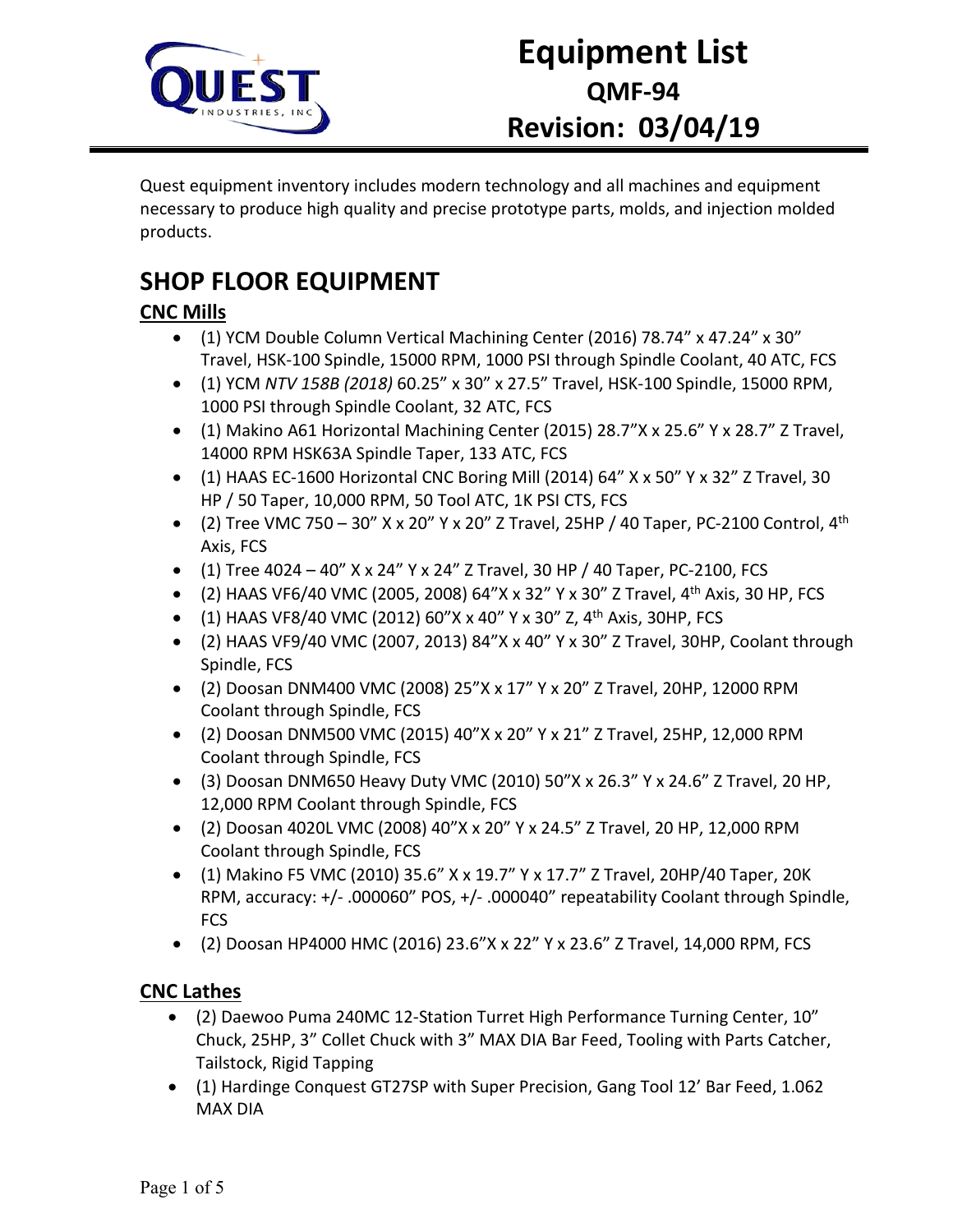

Quest equipment inventory includes modern technology and all machines and equipment necessary to produce high quality and precise prototype parts, molds, and injection molded products.

## **SHOP FLOOR EQUIPMENT**

### **CNC Mills**

- (1) YCM Double Column Vertical Machining Center (2016) 78.74" x 47.24" x 30" Travel, HSK-100 Spindle, 15000 RPM, 1000 PSI through Spindle Coolant, 40 ATC, FCS
- (1) YCM *NTV 158B (2018)* 60.25" x 30" x 27.5" Travel, HSK-100 Spindle, 15000 RPM, 1000 PSI through Spindle Coolant, 32 ATC, FCS
- (1) Makino A61 Horizontal Machining Center (2015) 28.7"X x 25.6" Y x 28.7" Z Travel, 14000 RPM HSK63A Spindle Taper, 133 ATC, FCS
- (1) HAAS EC-1600 Horizontal CNC Boring Mill (2014) 64" X x 50" Y x 32" Z Travel, 30 HP / 50 Taper, 10,000 RPM, 50 Tool ATC, 1K PSI CTS, FCS
- (2) Tree VMC 750 30" X x 20" Y x 20" Z Travel, 25HP / 40 Taper, PC-2100 Control,  $4^{th}$ Axis, FCS
- (1) Tree 4024 40" X x 24" Y x 24" Z Travel, 30 HP / 40 Taper, PC-2100, FCS
- (2) HAAS VF6/40 VMC (2005, 2008) 64"X x 32" Y x 30" Z Travel,  $4^{th}$  Axis, 30 HP, FCS
- (1) HAAS VF8/40 VMC (2012)  $60''X \times 40'' Y \times 30'' Z$ ,  $4^{th}$  Axis, 30HP, FCS
- (2) HAAS VF9/40 VMC (2007, 2013) 84"X x 40" Y x 30" Z Travel, 30HP, Coolant through Spindle, FCS
- (2) Doosan DNM400 VMC (2008) 25"X x 17" Y x 20" Z Travel, 20HP, 12000 RPM Coolant through Spindle, FCS
- (2) Doosan DNM500 VMC (2015) 40"X x 20" Y x 21" Z Travel, 25HP, 12,000 RPM Coolant through Spindle, FCS
- (3) Doosan DNM650 Heavy Duty VMC (2010) 50"X x 26.3" Y x 24.6" Z Travel, 20 HP, 12,000 RPM Coolant through Spindle, FCS
- (2) Doosan 4020L VMC (2008) 40"X x 20" Y x 24.5" Z Travel, 20 HP, 12,000 RPM Coolant through Spindle, FCS
- (1) Makino F5 VMC (2010) 35.6" X x 19.7" Y x 17.7" Z Travel, 20HP/40 Taper, 20K RPM, accuracy: +/- .000060" POS, +/- .000040" repeatability Coolant through Spindle, FCS
- (2) Doosan HP4000 HMC (2016) 23.6"X x 22" Y x 23.6" Z Travel, 14,000 RPM, FCS

### **CNC Lathes**

- (2) Daewoo Puma 240MC 12-Station Turret High Performance Turning Center, 10" Chuck, 25HP, 3" Collet Chuck with 3" MAX DIA Bar Feed, Tooling with Parts Catcher, Tailstock, Rigid Tapping
- (1) Hardinge Conquest GT27SP with Super Precision, Gang Tool 12' Bar Feed, 1.062 MAX DIA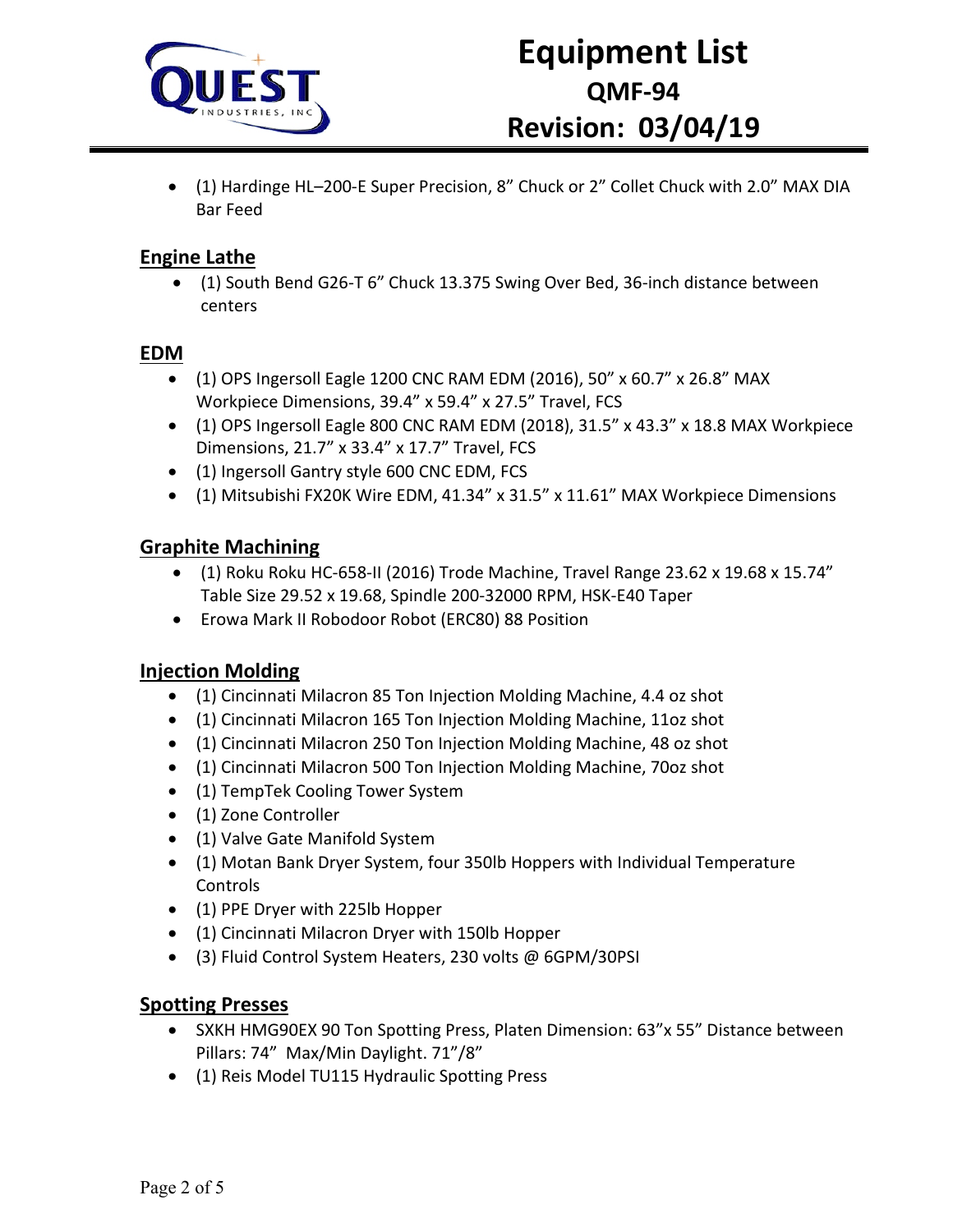

• (1) Hardinge HL–200-E Super Precision, 8" Chuck or 2" Collet Chuck with 2.0" MAX DIA Bar Feed

#### **Engine Lathe**

• (1) South Bend G26-T 6" Chuck 13.375 Swing Over Bed, 36-inch distance between centers

#### **EDM**

- (1) OPS Ingersoll Eagle 1200 CNC RAM EDM (2016), 50" x 60.7" x 26.8" MAX Workpiece Dimensions, 39.4" x 59.4" x 27.5" Travel, FCS
- (1) OPS Ingersoll Eagle 800 CNC RAM EDM (2018), 31.5" x 43.3" x 18.8 MAX Workpiece Dimensions, 21.7" x 33.4" x 17.7" Travel, FCS
- (1) Ingersoll Gantry style 600 CNC EDM, FCS
- (1) Mitsubishi FX20K Wire EDM, 41.34" x 31.5" x 11.61" MAX Workpiece Dimensions

#### **Graphite Machining**

- (1) Roku Roku HC-658-II (2016) Trode Machine, Travel Range 23.62 x 19.68 x 15.74" Table Size 29.52 x 19.68, Spindle 200-32000 RPM, HSK-E40 Taper
- Erowa Mark II Robodoor Robot (ERC80) 88 Position

#### **Injection Molding**

- (1) Cincinnati Milacron 85 Ton Injection Molding Machine, 4.4 oz shot
- (1) Cincinnati Milacron 165 Ton Injection Molding Machine, 11oz shot
- (1) Cincinnati Milacron 250 Ton Injection Molding Machine, 48 oz shot
- (1) Cincinnati Milacron 500 Ton Injection Molding Machine, 70oz shot
- (1) TempTek Cooling Tower System
- (1) Zone Controller
- (1) Valve Gate Manifold System
- (1) Motan Bank Dryer System, four 350lb Hoppers with Individual Temperature Controls
- (1) PPE Dryer with 225lb Hopper
- (1) Cincinnati Milacron Dryer with 150lb Hopper
- (3) Fluid Control System Heaters, 230 volts @ 6GPM/30PSI

#### **Spotting Presses**

- SXKH HMG90EX 90 Ton Spotting Press, Platen Dimension: 63"x 55" Distance between Pillars: 74" Max/Min Daylight. 71"/8"
- (1) Reis Model TU115 Hydraulic Spotting Press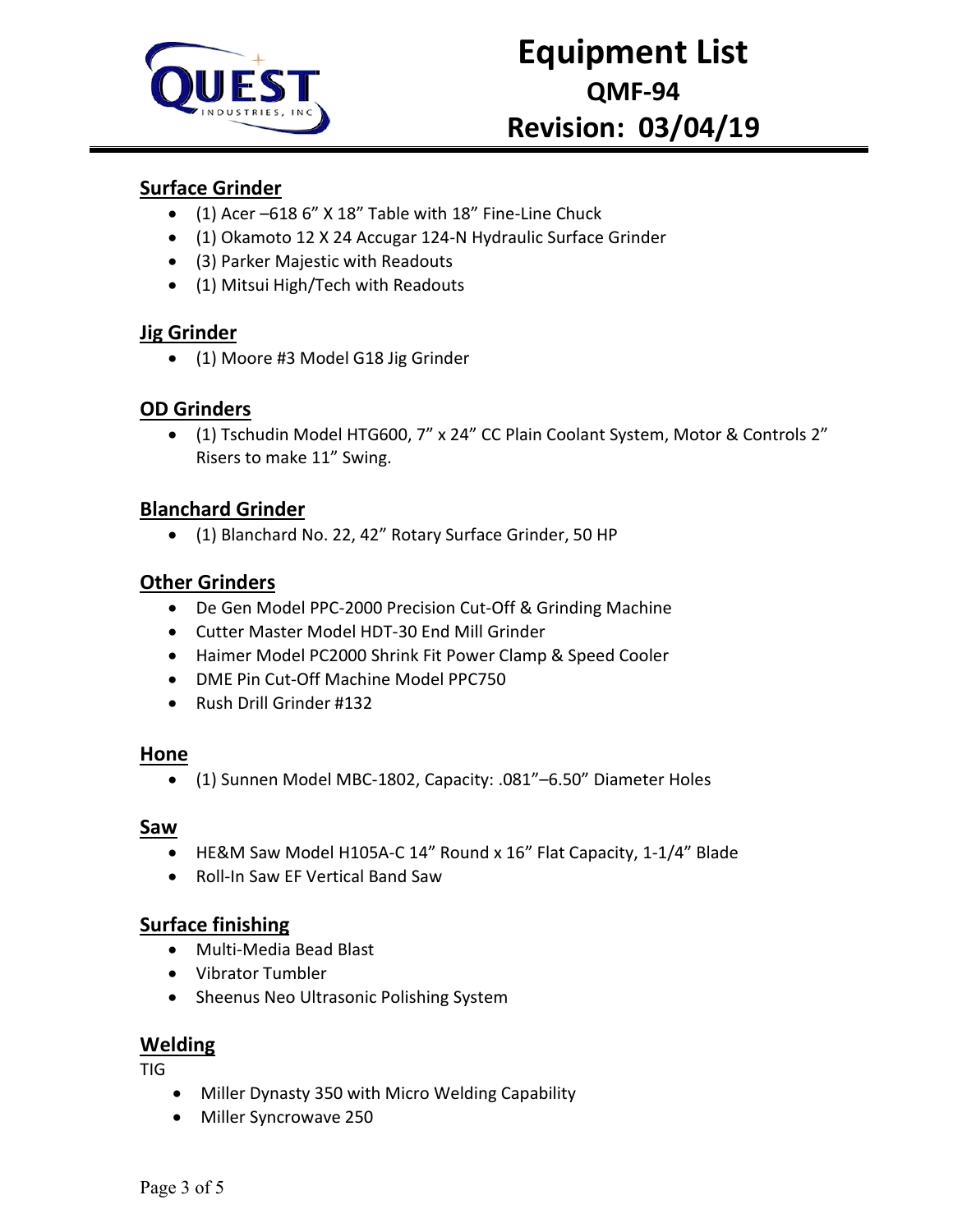

#### **Surface Grinder**

- (1) Acer –618 6" X 18" Table with 18" Fine-Line Chuck
- (1) Okamoto 12 X 24 Accugar 124-N Hydraulic Surface Grinder
- (3) Parker Majestic with Readouts
- (1) Mitsui High/Tech with Readouts

#### **Jig Grinder**

• (1) Moore #3 Model G18 Jig Grinder

#### **OD Grinders**

• (1) Tschudin Model HTG600, 7" x 24" CC Plain Coolant System, Motor & Controls 2" Risers to make 11" Swing.

#### **Blanchard Grinder**

• (1) Blanchard No. 22, 42" Rotary Surface Grinder, 50 HP

#### **Other Grinders**

- De Gen Model PPC-2000 Precision Cut-Off & Grinding Machine
- Cutter Master Model HDT-30 End Mill Grinder
- Haimer Model PC2000 Shrink Fit Power Clamp & Speed Cooler
- DME Pin Cut-Off Machine Model PPC750
- Rush Drill Grinder #132

#### **Hone**

• (1) Sunnen Model MBC-1802, Capacity: .081"–6.50" Diameter Holes

#### **Saw**

- HE&M Saw Model H105A-C 14" Round x 16" Flat Capacity, 1-1/4" Blade
- Roll-In Saw EF Vertical Band Saw

#### **Surface finishing**

- Multi-Media Bead Blast
- Vibrator Tumbler
- Sheenus Neo Ultrasonic Polishing System

#### **Welding**

TIG

- Miller Dynasty 350 with Micro Welding Capability
- Miller Syncrowave 250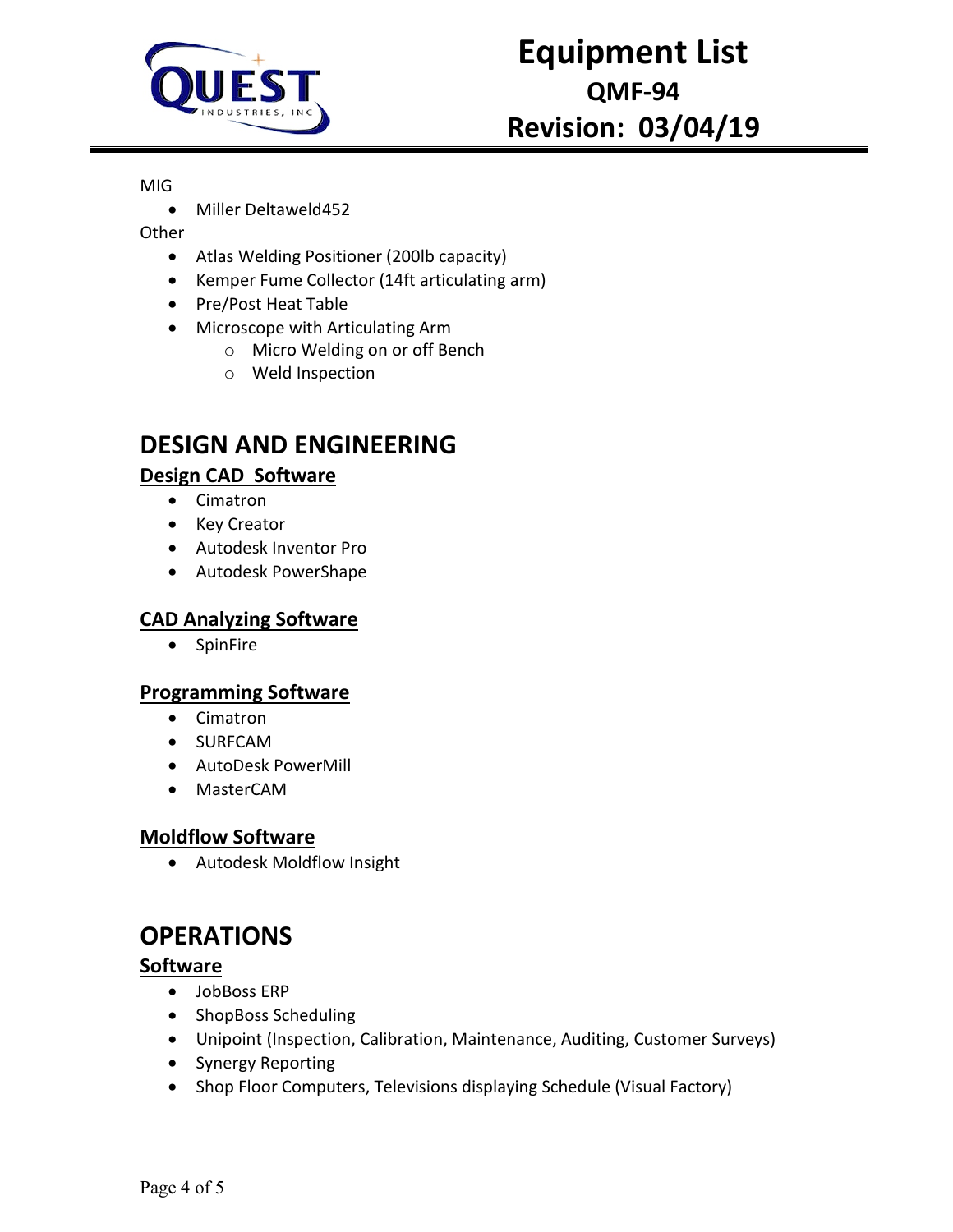

#### MIG

• Miller Deltaweld452

**Other** 

- Atlas Welding Positioner (200lb capacity)
- Kemper Fume Collector (14ft articulating arm)
- Pre/Post Heat Table
- Microscope with Articulating Arm
	- o Micro Welding on or off Bench
	- o Weld Inspection

### **DESIGN AND ENGINEERING**

### **Design CAD Software**

- Cimatron
- Key Creator
- Autodesk Inventor Pro
- Autodesk PowerShape

#### **CAD Analyzing Software**

• SpinFire

#### **Programming Software**

- Cimatron
- SURFCAM
- AutoDesk PowerMill
- MasterCAM

#### **Moldflow Software**

• Autodesk Moldflow Insight

## **OPERATIONS**

#### **Software**

- JobBoss ERP
- ShopBoss Scheduling
- Unipoint (Inspection, Calibration, Maintenance, Auditing, Customer Surveys)
- Synergy Reporting
- Shop Floor Computers, Televisions displaying Schedule (Visual Factory)